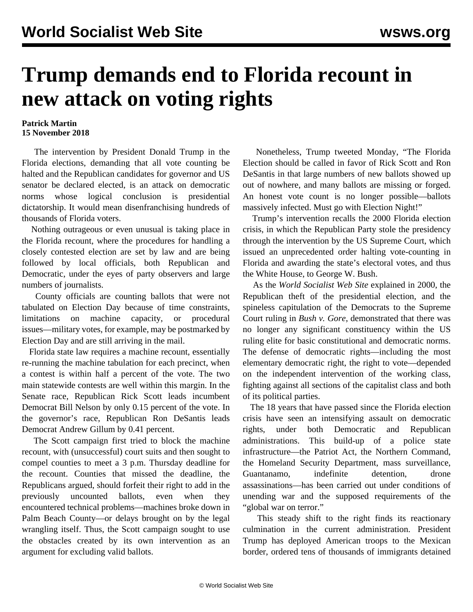## **Trump demands end to Florida recount in new attack on voting rights**

## **Patrick Martin 15 November 2018**

 The intervention by President Donald Trump in the Florida elections, demanding that all vote counting be halted and the Republican candidates for governor and US senator be declared elected, is an attack on democratic norms whose logical conclusion is presidential dictatorship. It would mean disenfranchising hundreds of thousands of Florida voters.

 Nothing outrageous or even unusual is taking place in the Florida recount, where the procedures for handling a closely contested election are set by law and are being followed by local officials, both Republican and Democratic, under the eyes of party observers and large numbers of journalists.

 County officials are counting ballots that were not tabulated on Election Day because of time constraints, limitations on machine capacity, or procedural issues—military votes, for example, may be postmarked by Election Day and are still arriving in the mail.

 Florida state law requires a machine recount, essentially re-running the machine tabulation for each precinct, when a contest is within half a percent of the vote. The two main statewide contests are well within this margin. In the Senate race, Republican Rick Scott leads incumbent Democrat Bill Nelson by only 0.15 percent of the vote. In the governor's race, Republican Ron DeSantis leads Democrat Andrew Gillum by 0.41 percent.

 The Scott campaign first tried to block the machine recount, with (unsuccessful) court suits and then sought to compel counties to meet a 3 p.m. Thursday deadline for the recount. Counties that missed the deadline, the Republicans argued, should forfeit their right to add in the previously uncounted ballots, even when they encountered technical problems—machines broke down in Palm Beach County—or delays brought on by the legal wrangling itself. Thus, the Scott campaign sought to use the obstacles created by its own intervention as an argument for excluding valid ballots.

 Nonetheless, Trump tweeted Monday, "The Florida Election should be called in favor of Rick Scott and Ron DeSantis in that large numbers of new ballots showed up out of nowhere, and many ballots are missing or forged. An honest vote count is no longer possible—ballots massively infected. Must go with Election Night!"

 Trump's intervention recalls the 2000 Florida election crisis, in which the Republican Party stole the presidency through the intervention by the US Supreme Court, which issued an unprecedented order halting vote-counting in Florida and awarding the state's electoral votes, and thus the White House, to George W. Bush.

 As the *World Socialist Web Site* explained in 2000, the Republican theft of the presidential election, and the spineless capitulation of the Democrats to the Supreme Court ruling in *Bush v. Gore*, demonstrated that there was no longer any significant constituency within the US ruling elite for basic constitutional and democratic norms. The defense of democratic rights—including the most elementary democratic right, the right to vote—depended on the independent intervention of the working class, fighting against all sections of the capitalist class and both of its political parties.

 The 18 years that have passed since the Florida election crisis have seen an intensifying assault on democratic rights, under both Democratic and Republican administrations. This build-up of a police state infrastructure—the Patriot Act, the Northern Command, the Homeland Security Department, mass surveillance, Guantanamo, indefinite detention, drone assassinations—has been carried out under conditions of unending war and the supposed requirements of the "global war on terror."

 This steady shift to the right finds its reactionary culmination in the current administration. President Trump has deployed American troops to the Mexican border, ordered tens of thousands of immigrants detained